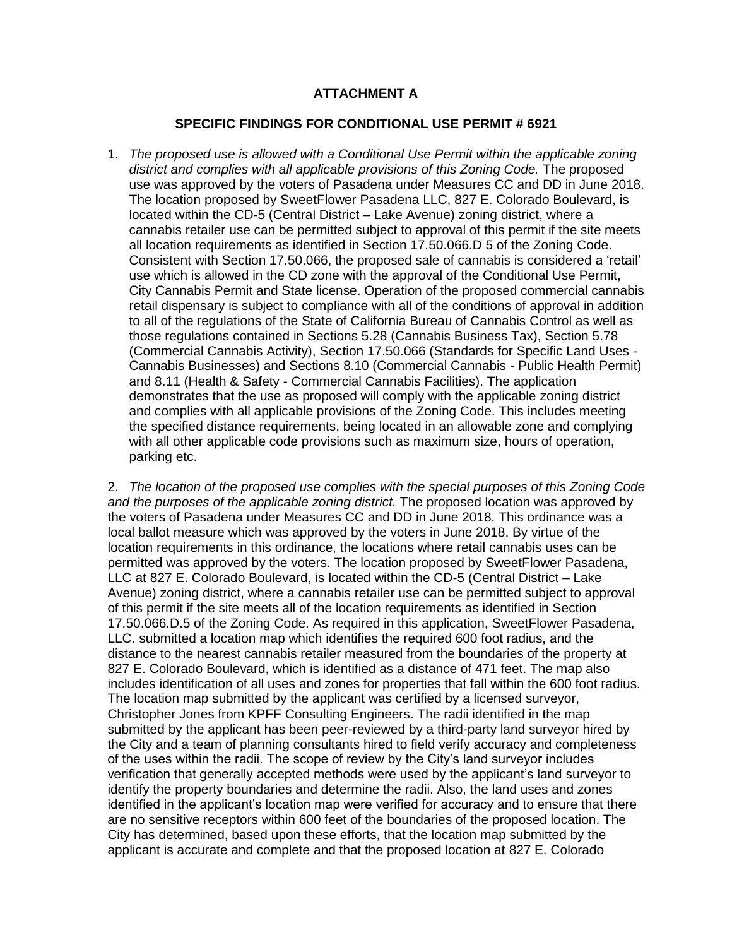## **ATTACHMENT A**

## **SPECIFIC FINDINGS FOR CONDITIONAL USE PERMIT # 6921**

1. *The proposed use is allowed with a Conditional Use Permit within the applicable zoning*  district and complies with all applicable provisions of this Zoning Code. The proposed use was approved by the voters of Pasadena under Measures CC and DD in June 2018. The location proposed by SweetFlower Pasadena LLC, 827 E. Colorado Boulevard, is located within the CD-5 (Central District – Lake Avenue) zoning district, where a cannabis retailer use can be permitted subject to approval of this permit if the site meets all location requirements as identified in Section 17.50.066.D 5 of the Zoning Code. Consistent with Section 17.50.066, the proposed sale of cannabis is considered a 'retail' use which is allowed in the CD zone with the approval of the Conditional Use Permit, City Cannabis Permit and State license. Operation of the proposed commercial cannabis retail dispensary is subject to compliance with all of the conditions of approval in addition to all of the regulations of the State of California Bureau of Cannabis Control as well as those regulations contained in Sections 5.28 (Cannabis Business Tax), Section 5.78 (Commercial Cannabis Activity), Section 17.50.066 (Standards for Specific Land Uses - Cannabis Businesses) and Sections 8.10 (Commercial Cannabis - Public Health Permit) and 8.11 (Health & Safety - Commercial Cannabis Facilities). The application demonstrates that the use as proposed will comply with the applicable zoning district and complies with all applicable provisions of the Zoning Code. This includes meeting the specified distance requirements, being located in an allowable zone and complying with all other applicable code provisions such as maximum size, hours of operation, parking etc.

2. *The location of the proposed use complies with the special purposes of this Zoning Code and the purposes of the applicable zoning district.* The proposed location was approved by the voters of Pasadena under Measures CC and DD in June 2018. This ordinance was a local ballot measure which was approved by the voters in June 2018. By virtue of the location requirements in this ordinance, the locations where retail cannabis uses can be permitted was approved by the voters. The location proposed by SweetFlower Pasadena, LLC at 827 E. Colorado Boulevard, is located within the CD-5 (Central District – Lake Avenue) zoning district, where a cannabis retailer use can be permitted subject to approval of this permit if the site meets all of the location requirements as identified in Section 17.50.066.D.5 of the Zoning Code. As required in this application, SweetFlower Pasadena, LLC. submitted a location map which identifies the required 600 foot radius, and the distance to the nearest cannabis retailer measured from the boundaries of the property at 827 E. Colorado Boulevard, which is identified as a distance of 471 feet. The map also includes identification of all uses and zones for properties that fall within the 600 foot radius. The location map submitted by the applicant was certified by a licensed surveyor, Christopher Jones from KPFF Consulting Engineers. The radii identified in the map submitted by the applicant has been peer-reviewed by a third-party land surveyor hired by the City and a team of planning consultants hired to field verify accuracy and completeness of the uses within the radii. The scope of review by the City's land surveyor includes verification that generally accepted methods were used by the applicant's land surveyor to identify the property boundaries and determine the radii. Also, the land uses and zones identified in the applicant's location map were verified for accuracy and to ensure that there are no sensitive receptors within 600 feet of the boundaries of the proposed location. The City has determined, based upon these efforts, that the location map submitted by the applicant is accurate and complete and that the proposed location at 827 E. Colorado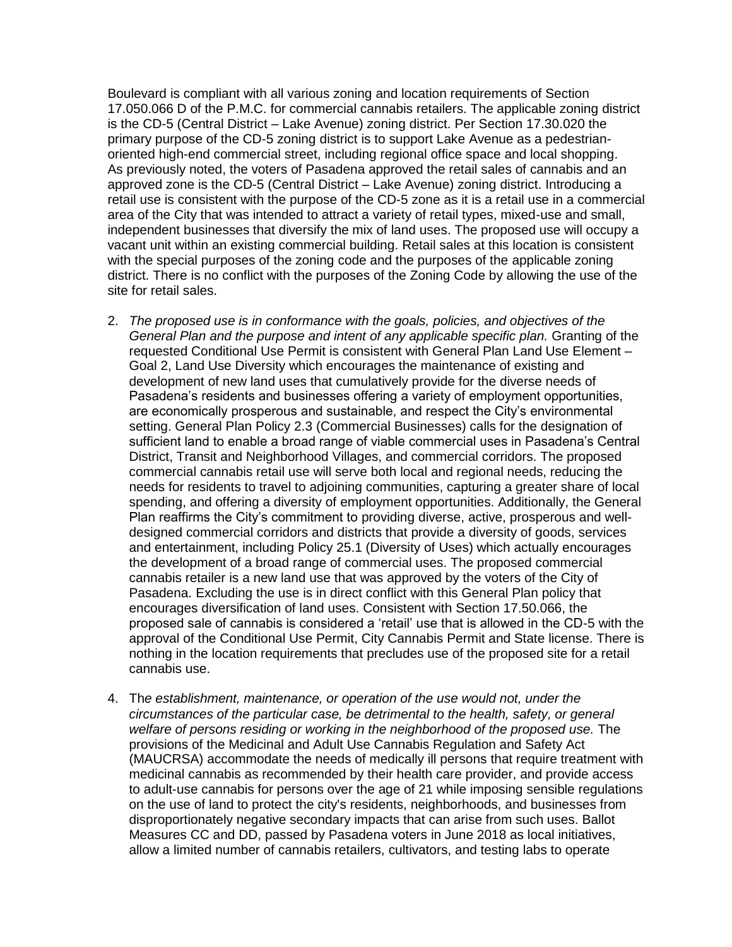Boulevard is compliant with all various zoning and location requirements of Section 17.050.066 D of the P.M.C. for commercial cannabis retailers. The applicable zoning district is the CD-5 (Central District – Lake Avenue) zoning district. Per Section 17.30.020 the primary purpose of the CD-5 zoning district is to support Lake Avenue as a pedestrianoriented high-end commercial street, including regional office space and local shopping. As previously noted, the voters of Pasadena approved the retail sales of cannabis and an approved zone is the CD-5 (Central District – Lake Avenue) zoning district. Introducing a retail use is consistent with the purpose of the CD-5 zone as it is a retail use in a commercial area of the City that was intended to attract a variety of retail types, mixed-use and small, independent businesses that diversify the mix of land uses. The proposed use will occupy a vacant unit within an existing commercial building. Retail sales at this location is consistent with the special purposes of the zoning code and the purposes of the applicable zoning district. There is no conflict with the purposes of the Zoning Code by allowing the use of the site for retail sales.

- 2. *The proposed use is in conformance with the goals, policies, and objectives of the*  General Plan and the purpose and intent of any applicable specific plan. Granting of the requested Conditional Use Permit is consistent with General Plan Land Use Element – Goal 2, Land Use Diversity which encourages the maintenance of existing and development of new land uses that cumulatively provide for the diverse needs of Pasadena's residents and businesses offering a variety of employment opportunities, are economically prosperous and sustainable, and respect the City's environmental setting. General Plan Policy 2.3 (Commercial Businesses) calls for the designation of sufficient land to enable a broad range of viable commercial uses in Pasadena's Central District, Transit and Neighborhood Villages, and commercial corridors. The proposed commercial cannabis retail use will serve both local and regional needs, reducing the needs for residents to travel to adjoining communities, capturing a greater share of local spending, and offering a diversity of employment opportunities. Additionally, the General Plan reaffirms the City's commitment to providing diverse, active, prosperous and welldesigned commercial corridors and districts that provide a diversity of goods, services and entertainment, including Policy 25.1 (Diversity of Uses) which actually encourages the development of a broad range of commercial uses. The proposed commercial cannabis retailer is a new land use that was approved by the voters of the City of Pasadena. Excluding the use is in direct conflict with this General Plan policy that encourages diversification of land uses. Consistent with Section 17.50.066, the proposed sale of cannabis is considered a 'retail' use that is allowed in the CD-5 with the approval of the Conditional Use Permit, City Cannabis Permit and State license. There is nothing in the location requirements that precludes use of the proposed site for a retail cannabis use.
- 4. Th*e establishment, maintenance, or operation of the use would not, under the circumstances of the particular case, be detrimental to the health, safety, or general welfare of persons residing or working in the neighborhood of the proposed use.* The provisions of the Medicinal and Adult Use Cannabis Regulation and Safety Act (MAUCRSA) accommodate the needs of medically ill persons that require treatment with medicinal cannabis as recommended by their health care provider, and provide access to adult-use cannabis for persons over the age of 21 while imposing sensible regulations on the use of land to protect the city's residents, neighborhoods, and businesses from disproportionately negative secondary impacts that can arise from such uses. Ballot Measures CC and DD, passed by Pasadena voters in June 2018 as local initiatives, allow a limited number of cannabis retailers, cultivators, and testing labs to operate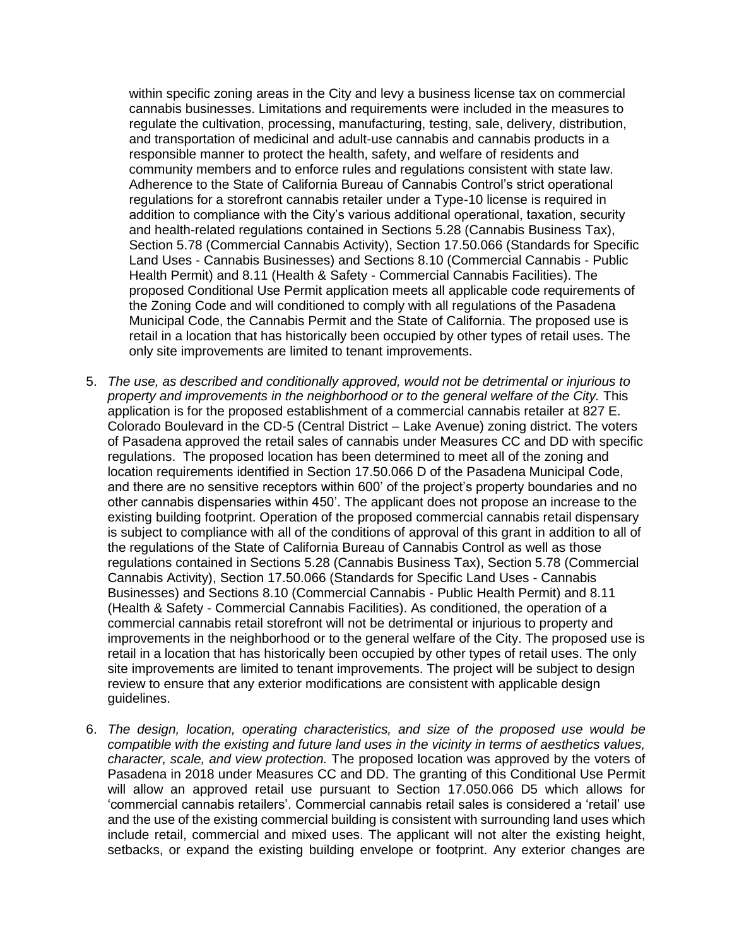within specific zoning areas in the City and levy a business license tax on commercial cannabis businesses. Limitations and requirements were included in the measures to regulate the cultivation, processing, manufacturing, testing, sale, delivery, distribution, and transportation of medicinal and adult-use cannabis and cannabis products in a responsible manner to protect the health, safety, and welfare of residents and community members and to enforce rules and regulations consistent with state law. Adherence to the State of California Bureau of Cannabis Control's strict operational regulations for a storefront cannabis retailer under a Type-10 license is required in addition to compliance with the City's various additional operational, taxation, security and health-related regulations contained in Sections 5.28 (Cannabis Business Tax), Section 5.78 (Commercial Cannabis Activity), Section 17.50.066 (Standards for Specific Land Uses - Cannabis Businesses) and Sections 8.10 (Commercial Cannabis - Public Health Permit) and 8.11 (Health & Safety - Commercial Cannabis Facilities). The proposed Conditional Use Permit application meets all applicable code requirements of the Zoning Code and will conditioned to comply with all regulations of the Pasadena Municipal Code, the Cannabis Permit and the State of California. The proposed use is retail in a location that has historically been occupied by other types of retail uses. The only site improvements are limited to tenant improvements.

- 5. *The use, as described and conditionally approved, would not be detrimental or injurious to property and improvements in the neighborhood or to the general welfare of the City.* This application is for the proposed establishment of a commercial cannabis retailer at 827 E. Colorado Boulevard in the CD-5 (Central District – Lake Avenue) zoning district. The voters of Pasadena approved the retail sales of cannabis under Measures CC and DD with specific regulations. The proposed location has been determined to meet all of the zoning and location requirements identified in Section 17.50.066 D of the Pasadena Municipal Code, and there are no sensitive receptors within 600' of the project's property boundaries and no other cannabis dispensaries within 450'. The applicant does not propose an increase to the existing building footprint. Operation of the proposed commercial cannabis retail dispensary is subject to compliance with all of the conditions of approval of this grant in addition to all of the regulations of the State of California Bureau of Cannabis Control as well as those regulations contained in Sections 5.28 (Cannabis Business Tax), Section 5.78 (Commercial Cannabis Activity), Section 17.50.066 (Standards for Specific Land Uses - Cannabis Businesses) and Sections 8.10 (Commercial Cannabis - Public Health Permit) and 8.11 (Health & Safety - Commercial Cannabis Facilities). As conditioned, the operation of a commercial cannabis retail storefront will not be detrimental or injurious to property and improvements in the neighborhood or to the general welfare of the City. The proposed use is retail in a location that has historically been occupied by other types of retail uses. The only site improvements are limited to tenant improvements. The project will be subject to design review to ensure that any exterior modifications are consistent with applicable design guidelines.
- 6. *The design, location, operating characteristics, and size of the proposed use would be compatible with the existing and future land uses in the vicinity in terms of aesthetics values, character, scale, and view protection.* The proposed location was approved by the voters of Pasadena in 2018 under Measures CC and DD. The granting of this Conditional Use Permit will allow an approved retail use pursuant to Section 17.050.066 D5 which allows for 'commercial cannabis retailers'. Commercial cannabis retail sales is considered a 'retail' use and the use of the existing commercial building is consistent with surrounding land uses which include retail, commercial and mixed uses. The applicant will not alter the existing height, setbacks, or expand the existing building envelope or footprint. Any exterior changes are